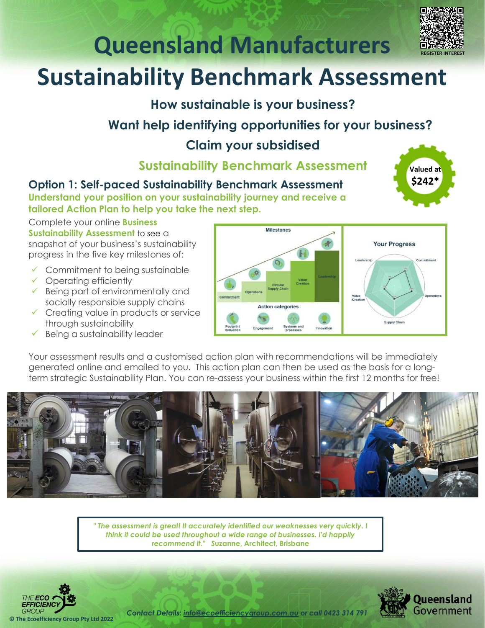

**Valued at \$242\***

## **Queensland Manufacturers**

### **Sustainability Benchmark Assessment**

**How sustainable is your business?**

### **Want help identifying opportunities for your business?**

#### **Claim your subsidised**

**Sustainability Benchmark Assessment**

**Option 1: Self-paced Sustainability Benchmark Assessment**

**Understand your position on your sustainability journey and receive a tailored Action Plan to help you take the next step.** 

Complete your online **Business Sustainability Assessment** to see a snapshot of your business's sustainability progress in the five key milestones of:

- $\checkmark$  Commitment to being sustainable
- $\checkmark$  Operating efficiently
- ✓ Being part of environmentally and socially responsible supply chains
- ✓ Creating value in products or service through sustainability
- Being a sustainability leader



Your assessment results and a customised action plan with recommendations will be immediately generated online and emailed to you. This action plan can then be used as the basis for a longterm strategic Sustainability Plan. You can re-assess your business within the first 12 months for free!



*" The assessment is great! It accurately identified our weaknesses very quickly. I think it could be used throughout a wide range of businesses. I'd happily recommend it." S***uzanne, Architect, Brisbane**